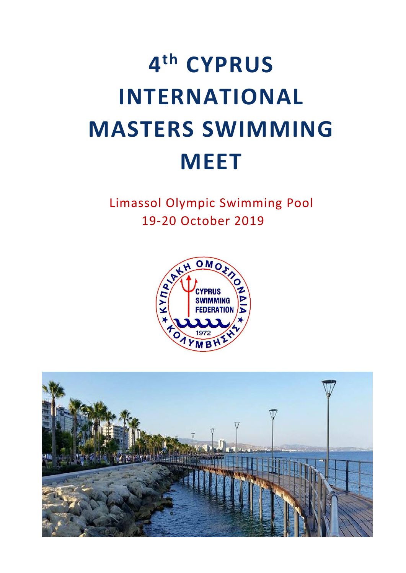Limassol Olympic Swimming Pool 19-20 October 2019



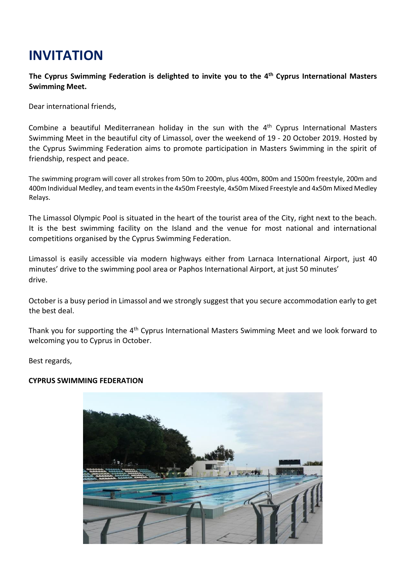# **INVITATION**

### **The Cyprus Swimming Federation is delighted to invite you to the 4 th Cyprus International Masters Swimming Meet.**

Dear international friends,

Combine a beautiful Mediterranean holiday in the sun with the 4<sup>th</sup> Cyprus International Masters Swimming Meet in the beautiful city of Limassol, over the weekend of 19 - 20 October 2019. Hosted by the Cyprus Swimming Federation aims to promote participation in Masters Swimming in the spirit of friendship, respect and peace.

The swimming program will cover all strokes from 50m to 200m, plus 400m, 800m and 1500m freestyle, 200m and 400m Individual Medley, and team events in the 4x50m Freestyle, 4x50m Mixed Freestyle and 4x50m Mixed Medley Relays.

The Limassol Olympic Pool is situated in the heart of the tourist area of the City, right next to the beach. It is the best swimming facility on the Island and the venue for most national and international competitions organised by the Cyprus Swimming Federation.

Limassol is easily accessible via modern highways either from Larnaca International Airport, just 40 minutes' drive to the swimming pool area or Paphos International Airport, at just 50 minutes' drive.

October is a busy period in Limassol and we strongly suggest that you secure accommodation early to get the best deal.

Thank you for supporting the 4<sup>th</sup> Cyprus International Masters Swimming Meet and we look forward to welcoming you to Cyprus in October.

Best regards,

#### **CYPRUS SWIMMING FEDERATION**

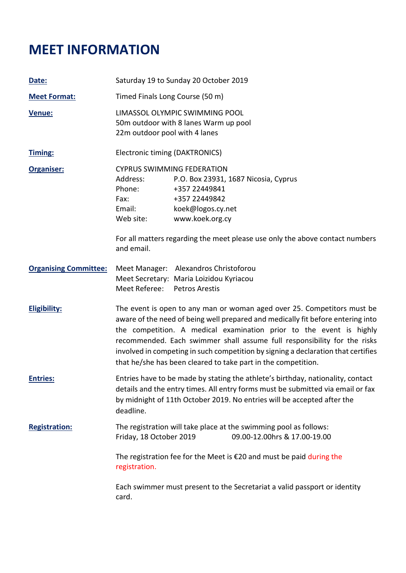## **MEET INFORMATION**

| Date:                        | Saturday 19 to Sunday 20 October 2019                                                                                                                                                                                                                                                                                                                                                                                                                               |  |
|------------------------------|---------------------------------------------------------------------------------------------------------------------------------------------------------------------------------------------------------------------------------------------------------------------------------------------------------------------------------------------------------------------------------------------------------------------------------------------------------------------|--|
| <b>Meet Format:</b>          | Timed Finals Long Course (50 m)                                                                                                                                                                                                                                                                                                                                                                                                                                     |  |
| Venue:                       | LIMASSOL OLYMPIC SWIMMING POOL<br>50m outdoor with 8 lanes Warm up pool<br>22m outdoor pool with 4 lanes                                                                                                                                                                                                                                                                                                                                                            |  |
| <b>Timing:</b>               | Electronic timing (DAKTRONICS)                                                                                                                                                                                                                                                                                                                                                                                                                                      |  |
| <b>Organiser:</b>            | <b>CYPRUS SWIMMING FEDERATION</b><br>Address:<br>P.O. Box 23931, 1687 Nicosia, Cyprus<br>Phone:<br>+357 22449841<br>+357 22449842<br>Fax:<br>Email: Email:<br>koek@logos.cy.net<br>Web site:<br>www.koek.org.cy                                                                                                                                                                                                                                                     |  |
|                              | For all matters regarding the meet please use only the above contact numbers<br>and email.                                                                                                                                                                                                                                                                                                                                                                          |  |
| <b>Organising Committee:</b> | Meet Manager: Alexandros Christoforou<br>Meet Secretary: Maria Loizidou Kyriacou<br>Meet Referee: Petros Arestis                                                                                                                                                                                                                                                                                                                                                    |  |
| <b>Eligibility:</b>          | The event is open to any man or woman aged over 25. Competitors must be<br>aware of the need of being well prepared and medically fit before entering into<br>the competition. A medical examination prior to the event is highly<br>recommended. Each swimmer shall assume full responsibility for the risks<br>involved in competing in such competition by signing a declaration that certifies<br>that he/she has been cleared to take part in the competition. |  |
| <b>Entries:</b>              | Entries have to be made by stating the athlete's birthday, nationality, contact<br>details and the entry times. All entry forms must be submitted via email or fax<br>by midnight of 11th October 2019. No entries will be accepted after the<br>deadline.                                                                                                                                                                                                          |  |
| <b>Registration:</b>         | The registration will take place at the swimming pool as follows:<br>09.00-12.00hrs & 17.00-19.00<br>Friday, 18 October 2019                                                                                                                                                                                                                                                                                                                                        |  |
|                              | The registration fee for the Meet is $\epsilon$ 20 and must be paid during the<br>registration.                                                                                                                                                                                                                                                                                                                                                                     |  |
|                              | Each swimmer must present to the Secretariat a valid passport or identity<br>card.                                                                                                                                                                                                                                                                                                                                                                                  |  |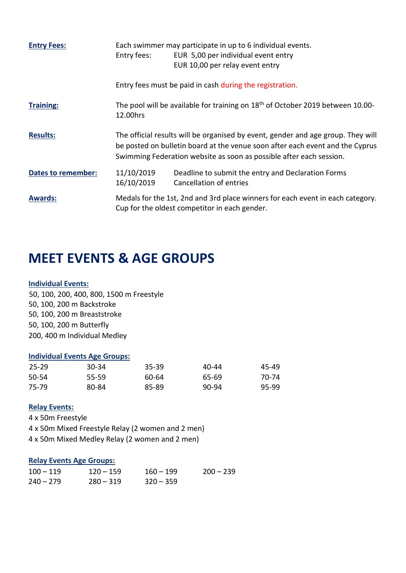| <b>Entry Fees:</b>        | Entry fees:                                                                                                                                                                                                                              | Each swimmer may participate in up to 6 individual events.<br>EUR 5,00 per individual event entry<br>EUR 10,00 per relay event entry |
|---------------------------|------------------------------------------------------------------------------------------------------------------------------------------------------------------------------------------------------------------------------------------|--------------------------------------------------------------------------------------------------------------------------------------|
|                           |                                                                                                                                                                                                                                          | Entry fees must be paid in cash during the registration.                                                                             |
| <b>Training:</b>          | The pool will be available for training on 18 <sup>th</sup> of October 2019 between 10.00-<br>12.00hrs                                                                                                                                   |                                                                                                                                      |
| <b>Results:</b>           | The official results will be organised by event, gender and age group. They will<br>be posted on bulletin board at the venue soon after each event and the Cyprus<br>Swimming Federation website as soon as possible after each session. |                                                                                                                                      |
| <b>Dates to remember:</b> | 11/10/2019<br>16/10/2019                                                                                                                                                                                                                 | Deadline to submit the entry and Declaration Forms<br>Cancellation of entries                                                        |
| <b>Awards:</b>            |                                                                                                                                                                                                                                          | Medals for the 1st, 2nd and 3rd place winners for each event in each category.<br>Cup for the oldest competitor in each gender.      |

### **MEET EVENTS & AGE GROUPS**

#### **Individual Events:**

50, 100, 200, 400, 800, 1500 m Freestyle 50, 100, 200 m Backstroke 50, 100, 200 m Breaststroke 50, 100, 200 m Butterfly 200, 400 m Individual Medley

#### **Individual Events Age Groups:**

| 25-29 | 30-34 | $35 - 39$ | 40-44 | 45-49 |
|-------|-------|-----------|-------|-------|
| 50-54 | 55-59 | 60-64     | 65-69 | 70-74 |
| 75-79 | 80-84 | 85-89     | 90-94 | 95-99 |

#### **Relay Events:**

4 x 50m Freestyle 4 x 50m Mixed Freestyle Relay (2 women and 2 men) 4 x 50m Mixed Medley Relay (2 women and 2 men)

#### **Relay Events Age Groups:**

| $100 - 119$ | $120 - 159$ | $160 - 199$ | $200 - 239$ |
|-------------|-------------|-------------|-------------|
| $240 - 279$ | $280 - 319$ | $320 - 359$ |             |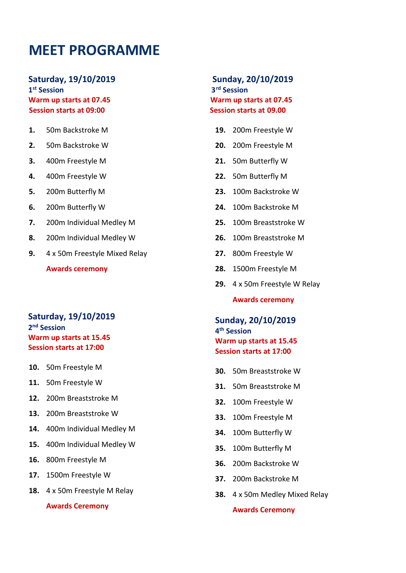### **MEET PROGRAMME**

### **Saturday, 19/10/2019 Sunday, 20/10/2019** 1<sup>st</sup> Session **Warm up starts at 07.45 Warm up starts at 07.45**

**1.** 50m Backstroke M

- **2.** 50m Backstroke W
- **3.** 400m Freestyle M
- **4.** 400m Freestyle W
- **5.** 200m Butterfly M
- **6.** 200m Butterfly W
- **7.** 200m Individual Medley M
- **8.** 200m Individual Medley W
- **9.** 4 х 50m Freestyle Mixed Relay

**Awards ceremony**

#### **Saturday, 19/10/2019 2 nd Session Warm up starts at 15.45 Session starts at 17:00**

- **10.** 50m Freestyle M
- **11.** 50m Freestyle W
- **12.** 200m Breaststroke M
- **13.** 200m Breaststroke W
- **14.** 400m Individual Medley M
- **15.** 400m Individual Medley W
- **16.** 800m Freestyle M
- **17.** 1500m Freestyle W
- **18.** 4 х 50m Freestyle M Relay

**Awards Ceremony**

# **st Session 3rd Session Session starts at 09:00 Session starts at 09.00**

- **19.** 200m Freestyle W
- **20.** 200m Freestyle M
- **21.** 50m Butterfly W
- **22.** 50m Butterfly M
- **23.** 100m Backstroke W
- **24.** 100m Backstroke M
- **25.** 100m Breaststroke W
- **26.** 100m Breaststroke M
- **27.** 800m Freestyle W
- **28.** 1500m Freestyle M
- **29.** 4 x 50m Freestyle W Relay

**Awards ceremony**

**Sunday, 20/10/2019 4 th Session Warm up starts at 15.45 Session starts at 17:00** 

- **30.** 50m Breaststroke W
- **31.** 50m Breaststroke M
- **32.** 100m Freestyle W
- **33.** 100m Freestyle M
- **34.** 100m Butterfly W
- **35.** 100m Butterfly M
- **36.** 200m Backstroke W
- **37.** 200m Backstroke M
- **38.** 4 х 50m Medley Mixed Relay

**Awards Ceremony**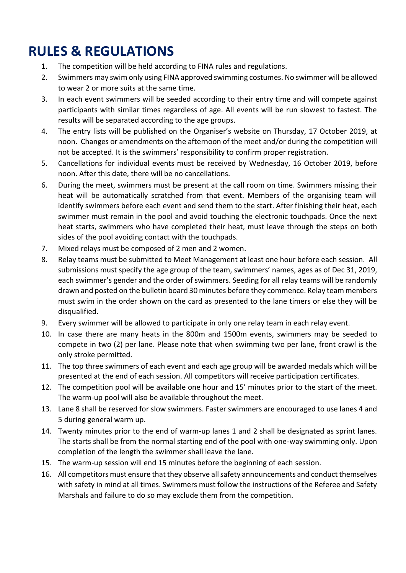# **RULES & REGULATIONS**

- 1. The competition will be held according to FINA rules and regulations.
- 2. Swimmers may swim only using FINA approved swimming costumes. No swimmer will be allowed to wear 2 or more suits at the same time.
- 3. In each event swimmers will be seeded according to their entry time and will compete against participants with similar times regardless of age. All events will be run slowest to fastest. The results will be separated according to the age groups.
- 4. The entry lists will be published on the Organiser's website on Thursday, 17 October 2019, at noon. Changes or amendments on the afternoon of the meet and/or during the competition will not be accepted. It is the swimmers' responsibility to confirm proper registration.
- 5. Cancellations for individual events must be received by Wednesday, 16 October 2019, before noon. After this date, there will be no cancellations.
- 6. During the meet, swimmers must be present at the call room on time. Swimmers missing their heat will be automatically scratched from that event. Members of the organising team will identify swimmers before each event and send them to the start. After finishing their heat, each swimmer must remain in the pool and avoid touching the electronic touchpads. Once the next heat starts, swimmers who have completed their heat, must leave through the steps on both sides of the pool avoiding contact with the touchpads.
- 7. Mixed relays must be composed of 2 men and 2 women.
- 8. Relay teams must be submitted to Meet Management at least one hour before each session. All submissions must specify the age group of the team, swimmers' names, ages as of Dec 31, 2019, each swimmer's gender and the order of swimmers. Seeding for all relay teams will be randomly drawn and posted on the bulletin board 30 minutes before they commence. Relay team members must swim in the order shown on the card as presented to the lane timers or else they will be disqualified.
- 9. Every swimmer will be allowed to participate in only one relay team in each relay event.
- 10. In case there are many heats in the 800m and 1500m events, swimmers may be seeded to compete in two (2) per lane. Please note that when swimming two per lane, front crawl is the only stroke permitted.
- 11. The top three swimmers of each event and each age group will be awarded medals which will be presented at the end of each session. All competitors will receive participation certificates.
- 12. The competition pool will be available one hour and 15' minutes prior to the start of the meet. The warm-up pool will also be available throughout the meet.
- 13. Lane 8 shall be reserved for slow swimmers. Faster swimmers are encouraged to use lanes 4 and 5 during general warm up.
- 14. Twenty minutes prior to the end of warm-up lanes 1 and 2 shall be designated as sprint lanes. The starts shall be from the normal starting end of the pool with one-way swimming only. Upon completion of the length the swimmer shall leave the lane.
- 15. The warm-up session will end 15 minutes before the beginning of each session.
- 16. All competitors must ensure that they observe all safety announcements and conduct themselves with safety in mind at all times. Swimmers must follow the instructions of the Referee and Safety Marshals and failure to do so may exclude them from the competition.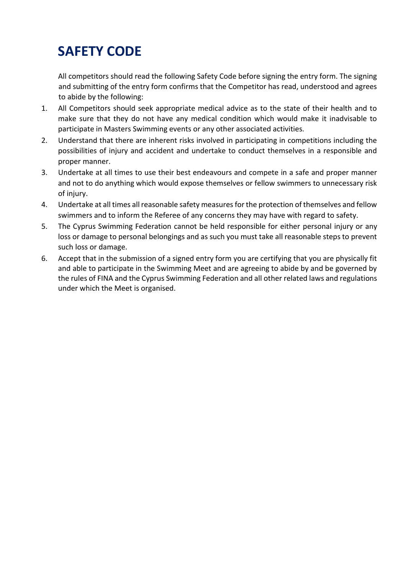# **SAFETY CODE**

All competitors should read the following Safety Code before signing the entry form. The signing and submitting of the entry form confirms that the Competitor has read, understood and agrees to abide by the following:

- 1. All Competitors should seek appropriate medical advice as to the state of their health and to make sure that they do not have any medical condition which would make it inadvisable to participate in Masters Swimming events or any other associated activities.
- 2. Understand that there are inherent risks involved in participating in competitions including the possibilities of injury and accident and undertake to conduct themselves in a responsible and proper manner.
- 3. Undertake at all times to use their best endeavours and compete in a safe and proper manner and not to do anything which would expose themselves or fellow swimmers to unnecessary risk of injury.
- 4. Undertake at all times all reasonable safety measures for the protection of themselves and fellow swimmers and to inform the Referee of any concerns they may have with regard to safety.
- 5. The Cyprus Swimming Federation cannot be held responsible for either personal injury or any loss or damage to personal belongings and as such you must take all reasonable steps to prevent such loss or damage.
- 6. Accept that in the submission of a signed entry form you are certifying that you are physically fit and able to participate in the Swimming Meet and are agreeing to abide by and be governed by the rules of FINA and the Cyprus Swimming Federation and all other related laws and regulations under which the Meet is organised.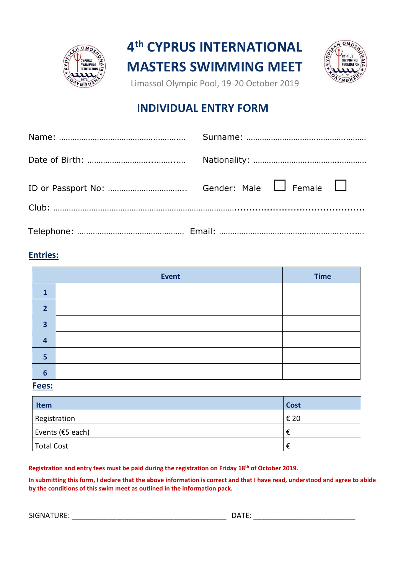



Limassol Olympic Pool, 19-20 October 2019

### **INDIVIDUAL ENTRY FORM**

### **Entries:**

|              | Event | <b>Time</b> |
|--------------|-------|-------------|
| 1            |       |             |
| $\mathbf{D}$ |       |             |
| 3            |       |             |
| 4            |       |             |
| 5            |       |             |
| 6            |       |             |

**Fees:**

| Item                 | <b>Cost</b> |
|----------------------|-------------|
| Registration         | € 20        |
| Events ( $E$ 5 each) |             |
| Total Cost           | €           |

**Registration and entry fees must be paid during the registration on Friday 18th of October 2019.** 

**In submitting this form, I declare that the above information is correct and that I have read, understood and agree to abide by the conditions of this swim meet as outlined in the information pack.** 

SIGNATURE: \_\_\_\_\_\_\_\_\_\_\_\_\_\_\_\_\_\_\_\_\_\_\_\_\_\_\_\_\_\_\_\_\_\_\_\_\_\_ DATE: \_\_\_\_\_\_\_\_\_\_\_\_\_\_\_\_\_\_\_\_\_\_\_\_\_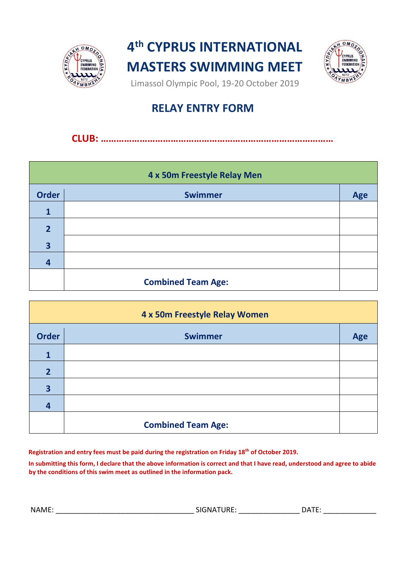



Limassol Olympic Pool, 19-20 October 2019

### **RELAY ENTRY FORM**

### **CLUB: ………………………………………………………………………………**

| 4 x 50m Freestyle Relay Men |                           |     |
|-----------------------------|---------------------------|-----|
| <b>Order</b>                | <b>Swimmer</b>            | Age |
| 1                           |                           |     |
| $\overline{2}$              |                           |     |
| 3                           |                           |     |
| 4                           |                           |     |
|                             | <b>Combined Team Age:</b> |     |

| 4 x 50m Freestyle Relay Women |                           |     |
|-------------------------------|---------------------------|-----|
| <b>Order</b>                  | <b>Swimmer</b>            | Age |
| $\mathbf{1}$                  |                           |     |
| $\overline{2}$                |                           |     |
| 3                             |                           |     |
| $\overline{4}$                |                           |     |
|                               | <b>Combined Team Age:</b> |     |

**Registration and entry fees must be paid during the registration on Friday 18th of October 2019.** 

**In submitting this form, I declare that the above information is correct and that I have read, understood and agree to abide by the conditions of this swim meet as outlined in the information pack.** 

NAME: \_\_\_\_\_\_\_\_\_\_\_\_\_\_\_\_\_\_\_\_\_\_\_\_\_\_\_\_\_\_\_\_\_\_ SIGNATURE: \_\_\_\_\_\_\_\_\_\_\_\_\_\_\_ DATE: \_\_\_\_\_\_\_\_\_\_\_\_\_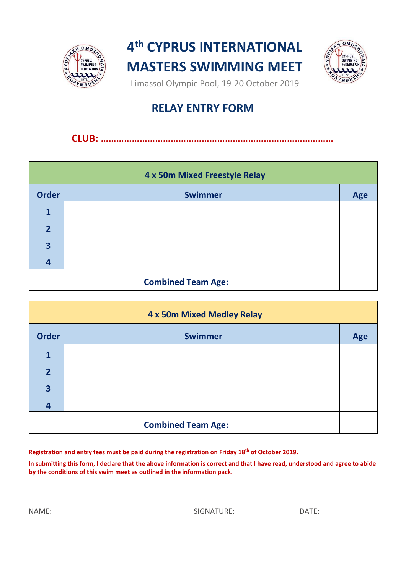



Limassol Olympic Pool, 19-20 October 2019

### **RELAY ENTRY FORM**

### **CLUB: ………………………………………………………………………………**

| 4 x 50m Mixed Freestyle Relay |                           |     |
|-------------------------------|---------------------------|-----|
| <b>Order</b>                  | <b>Swimmer</b>            | Age |
| 1                             |                           |     |
| $\overline{2}$                |                           |     |
| 3                             |                           |     |
| 4                             |                           |     |
|                               | <b>Combined Team Age:</b> |     |

| 4 x 50m Mixed Medley Relay |                           |            |
|----------------------------|---------------------------|------------|
| <b>Order</b>               | <b>Swimmer</b>            | <b>Age</b> |
| 1                          |                           |            |
| $\overline{2}$             |                           |            |
| 3                          |                           |            |
| 4                          |                           |            |
|                            | <b>Combined Team Age:</b> |            |

**Registration and entry fees must be paid during the registration on Friday 18th of October 2019.** 

**In submitting this form, I declare that the above information is correct and that I have read, understood and agree to abide by the conditions of this swim meet as outlined in the information pack.**